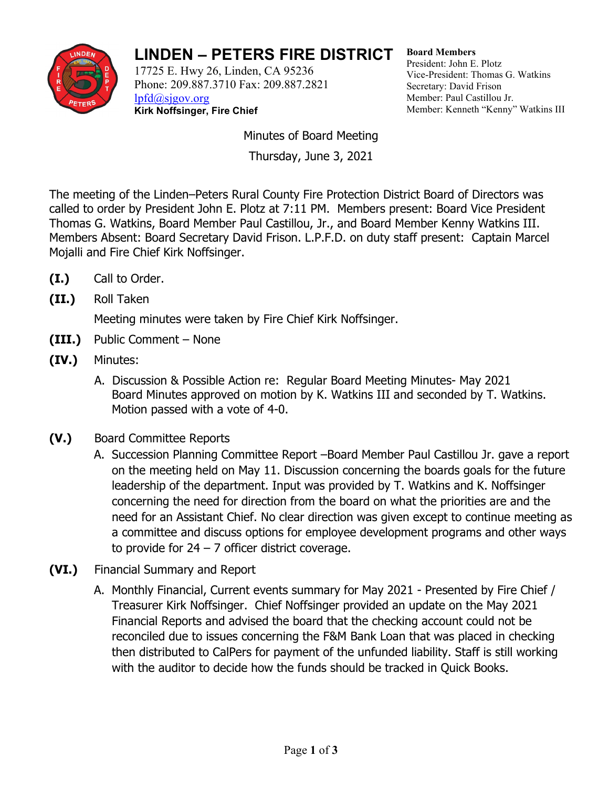

## **LINDEN – PETERS FIRE DISTRICT**

17725 E. Hwy 26, Linden, CA 95236 Phone: 209.887.3710 Fax: 209.887.2821 [lpfd@sjgov.org](mailto:lpfd@sjgov.org) **Kirk Noffsinger, Fire Chief**

**Board Members** President: John E. Plotz Vice-President: Thomas G. Watkins Secretary: David Frison Member: Paul Castillou Jr. Member: Kenneth "Kenny" Watkins III

Minutes of Board Meeting Thursday, June 3, 2021

The meeting of the Linden–Peters Rural County Fire Protection District Board of Directors was called to order by President John E. Plotz at 7:11 PM. Members present: Board Vice President Thomas G. Watkins, Board Member Paul Castillou, Jr., and Board Member Kenny Watkins III. Members Absent: Board Secretary David Frison. L.P.F.D. on duty staff present: Captain Marcel Mojalli and Fire Chief Kirk Noffsinger.

- **(I.)** Call to Order.
- **(II.)** Roll Taken

Meeting minutes were taken by Fire Chief Kirk Noffsinger.

- **(III.)** Public Comment None
- **(IV.)** Minutes:
	- A. Discussion & Possible Action re: Regular Board Meeting Minutes- May 2021 Board Minutes approved on motion by K. Watkins III and seconded by T. Watkins. Motion passed with a vote of 4-0.
- **(V.)** Board Committee Reports
	- A. Succession Planning Committee Report –Board Member Paul Castillou Jr. gave a report on the meeting held on May 11. Discussion concerning the boards goals for the future leadership of the department. Input was provided by T. Watkins and K. Noffsinger concerning the need for direction from the board on what the priorities are and the need for an Assistant Chief. No clear direction was given except to continue meeting as a committee and discuss options for employee development programs and other ways to provide for  $24 - 7$  officer district coverage.
- **(VI.)** Financial Summary and Report
	- A. Monthly Financial, Current events summary for May 2021 Presented by Fire Chief / Treasurer Kirk Noffsinger. Chief Noffsinger provided an update on the May 2021 Financial Reports and advised the board that the checking account could not be reconciled due to issues concerning the F&M Bank Loan that was placed in checking then distributed to CalPers for payment of the unfunded liability. Staff is still working with the auditor to decide how the funds should be tracked in Quick Books.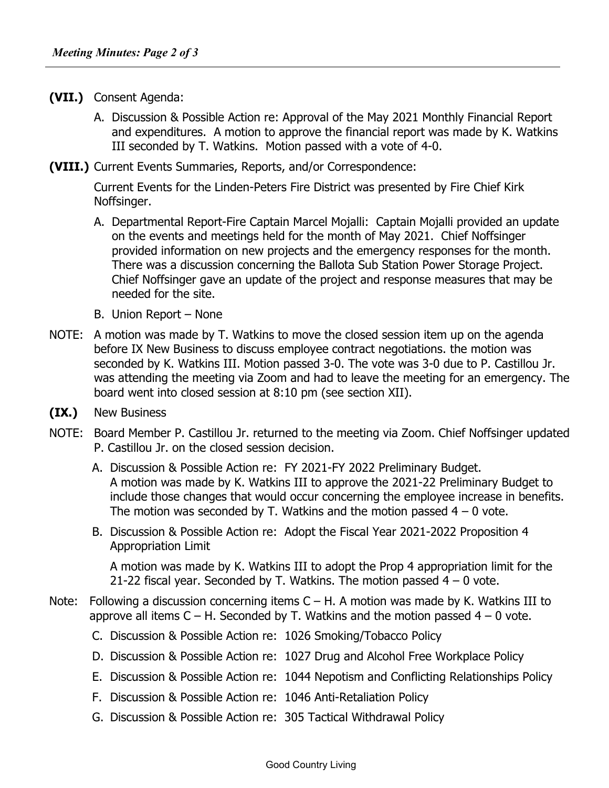- **(VII.)** Consent Agenda:
	- A. Discussion & Possible Action re: Approval of the May 2021 Monthly Financial Report and expenditures. A motion to approve the financial report was made by K. Watkins III seconded by T. Watkins. Motion passed with a vote of 4-0.
- **(VIII.)** Current Events Summaries, Reports, and/or Correspondence:

Current Events for the Linden-Peters Fire District was presented by Fire Chief Kirk Noffsinger.

- A. Departmental Report-Fire Captain Marcel Mojalli: Captain Mojalli provided an update on the events and meetings held for the month of May 2021. Chief Noffsinger provided information on new projects and the emergency responses for the month. There was a discussion concerning the Ballota Sub Station Power Storage Project. Chief Noffsinger gave an update of the project and response measures that may be needed for the site.
- B. Union Report None
- NOTE: A motion was made by T. Watkins to move the closed session item up on the agenda before IX New Business to discuss employee contract negotiations. the motion was seconded by K. Watkins III. Motion passed 3-0. The vote was 3-0 due to P. Castillou Jr. was attending the meeting via Zoom and had to leave the meeting for an emergency. The board went into closed session at 8:10 pm (see section XII).
- **(IX.)** New Business
- NOTE: Board Member P. Castillou Jr. returned to the meeting via Zoom. Chief Noffsinger updated P. Castillou Jr. on the closed session decision.
	- A. Discussion & Possible Action re: FY 2021-FY 2022 Preliminary Budget. A motion was made by K. Watkins III to approve the 2021-22 Preliminary Budget to include those changes that would occur concerning the employee increase in benefits. The motion was seconded by T. Watkins and the motion passed  $4 - 0$  vote.
	- B. Discussion & Possible Action re: Adopt the Fiscal Year 2021-2022 Proposition 4 Appropriation Limit

A motion was made by K. Watkins III to adopt the Prop 4 appropriation limit for the 21-22 fiscal year. Seconded by T. Watkins. The motion passed  $4 - 0$  vote.

- Note: Following a discussion concerning items  $C H$ . A motion was made by K. Watkins III to approve all items  $C - H$ . Seconded by T. Watkins and the motion passed  $4 - 0$  vote.
	- C. Discussion & Possible Action re: 1026 Smoking/Tobacco Policy
	- D. Discussion & Possible Action re: 1027 Drug and Alcohol Free Workplace Policy
	- E. Discussion & Possible Action re: 1044 Nepotism and Conflicting Relationships Policy
	- F. Discussion & Possible Action re: 1046 Anti-Retaliation Policy
	- G. Discussion & Possible Action re: 305 Tactical Withdrawal Policy